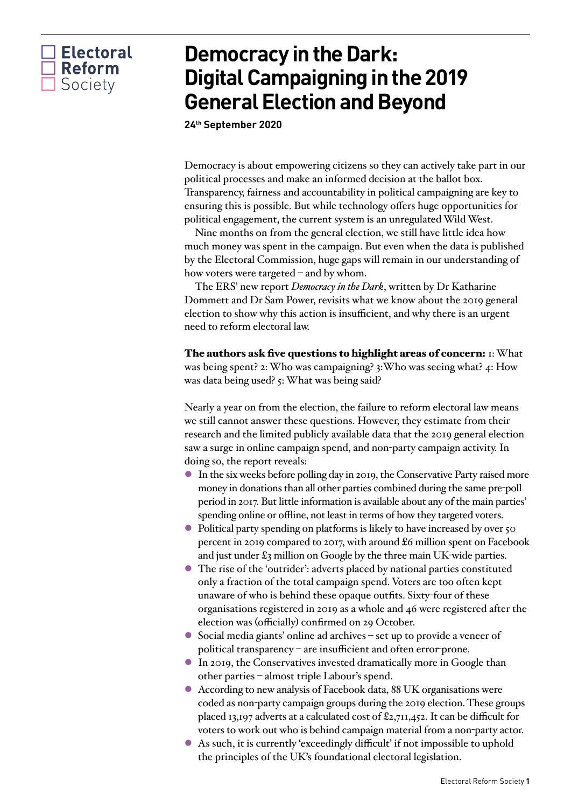## $\Box$  Electoral  $\Box$  Reform Society

## **Democracy in the Dark: Digital Campaigning in the 2019 General Election and Beyond**

**24th September 2020** 

Democracy is about empowering citizens so they can actively take part in our political processes and make an informed decision at the ballot box. Transparency, fairness and accountability in political campaigning are key to ensuring this is possible. But while technology offers huge opportunities for political engagement, the current system is an unregulated Wild West.

Nine months on from the general election, we still have little idea how much money was spent in the campaign. But even when the data is published by the Electoral Commission, huge gaps will remain in our understanding of how voters were targeted – and by whom.

The ERS' new report *Democracy in the Dark*, written by Dr Katharine Dommett and Dr Sam Power, revisits what we know about the 2019 general election to show why this action is insufficient, and why there is an urgent need to reform electoral law.

The authors ask five questions to highlight areas of concern: 1: What was being spent? 2: Who was campaigning? 3:Who was seeing what? 4: How was data being used? 5: What was being said?

Nearly a year on from the election, the failure to reform electoral law means we still cannot answer these questions. However, they estimate from their research and the limited publicly available data that the 2019 general election saw a surge in online campaign spend, and non-party campaign activity. In doing so, the report reveals:

- In the six weeks before polling day in 2019, the Conservative Party raised more money in donations than all other parties combined during the same pre-poll period in 2017. But little information is available about any of the main parties' spending online or offline, not least in terms of how they targeted voters.
- Political party spending on platforms is likely to have increased by over 50 percent in 2019 compared to 2017, with around £6 million spent on Facebook and just under £3 million on Google by the three main UK-wide parties.
- The rise of the 'outrider': adverts placed by national parties constituted only a fraction of the total campaign spend. Voters are too often kept unaware of who is behind these opaque outfits. Sixty-four of these organisations registered in 2019 as a whole and 46 were registered after the election was (officially) confirmed on 29 October.
- l Social media giants' online ad archives set up to provide a veneer of political transparency – are insufficient and often error-prone.
- l In 2019, the Conservatives invested dramatically more in Google than other parties – almost triple Labour's spend.
- l According to new analysis of Facebook data, 88 UK organisations were coded as non-party campaign groups during the 2019 election. These groups placed 13,197 adverts at a calculated cost of £2,711,452. It can be difficult for voters to work out who is behind campaign material from a non-party actor.
- l As such, it is currently 'exceedingly difficult' if not impossible to uphold the principles of the UK's foundational electoral legislation.